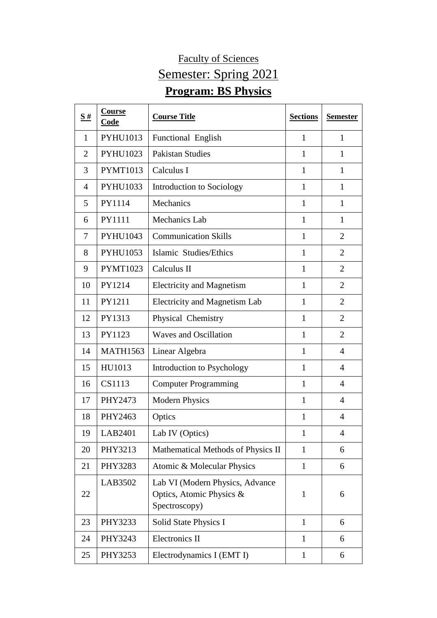## Faculty of Sciences Semester: Spring 2021 **Program: BS Physics**

| S#             | <b>Course</b><br>Code | <b>Course Title</b>                                                          | <b>Sections</b> | <b>Semester</b> |
|----------------|-----------------------|------------------------------------------------------------------------------|-----------------|-----------------|
| 1              | <b>PYHU1013</b>       | Functional English                                                           | $\mathbf{1}$    | 1               |
| $\overline{2}$ | <b>PYHU1023</b>       | <b>Pakistan Studies</b>                                                      | $\mathbf{1}$    | $\mathbf{1}$    |
| 3              | <b>PYMT1013</b>       | Calculus I                                                                   | $\mathbf{1}$    | $\mathbf{1}$    |
| $\overline{4}$ | PYHU1033              | Introduction to Sociology                                                    | $\mathbf{1}$    | $\mathbf{1}$    |
| 5              | PY1114                | Mechanics                                                                    | $\mathbf{1}$    | $\mathbf{1}$    |
| 6              | PY1111                | Mechanics Lab                                                                | $\mathbf{1}$    | $\mathbf{1}$    |
| 7              | PYHU1043              | <b>Communication Skills</b>                                                  | $\mathbf{1}$    | $\overline{2}$  |
| 8              | PYHU1053              | Islamic Studies/Ethics                                                       | $\mathbf{1}$    | $\overline{2}$  |
| 9              | <b>PYMT1023</b>       | Calculus II                                                                  | $\mathbf{1}$    | $\overline{2}$  |
| 10             | PY1214                | <b>Electricity and Magnetism</b>                                             | $\mathbf{1}$    | $\overline{2}$  |
| 11             | PY1211                | Electricity and Magnetism Lab                                                | $\mathbf{1}$    | $\overline{2}$  |
| 12             | PY1313                | Physical Chemistry                                                           | $\mathbf{1}$    | $\overline{2}$  |
| 13             | PY1123                | <b>Waves and Oscillation</b>                                                 | $\mathbf{1}$    | $\overline{2}$  |
| 14             | <b>MATH1563</b>       | Linear Algebra                                                               | $\mathbf{1}$    | $\overline{4}$  |
| 15             | HU1013                | Introduction to Psychology                                                   | $\mathbf{1}$    | $\overline{4}$  |
| 16             | CS1113                | <b>Computer Programming</b>                                                  | $\mathbf{1}$    | $\overline{4}$  |
| 17             | PHY2473               | <b>Modern Physics</b>                                                        | $\mathbf{1}$    | $\overline{4}$  |
| 18             | PHY2463               | Optics                                                                       | 1               | $\overline{4}$  |
| 19             | LAB2401               | Lab IV (Optics)                                                              | $\mathbf{1}$    | 4               |
| 20             | PHY3213               | Mathematical Methods of Physics II                                           | $\mathbf{1}$    | 6               |
| 21             | PHY3283               | Atomic & Molecular Physics                                                   | $\mathbf{1}$    | 6               |
| 22             | LAB3502               | Lab VI (Modern Physics, Advance<br>Optics, Atomic Physics &<br>Spectroscopy) | $\mathbf{1}$    | 6               |
| 23             | PHY3233               | Solid State Physics I                                                        | $\mathbf{1}$    | 6               |
| 24             | PHY3243               | Electronics II                                                               | $\mathbf{1}$    | 6               |
| 25             | PHY3253               | Electrodynamics I (EMT I)                                                    | $\mathbf{1}$    | 6               |